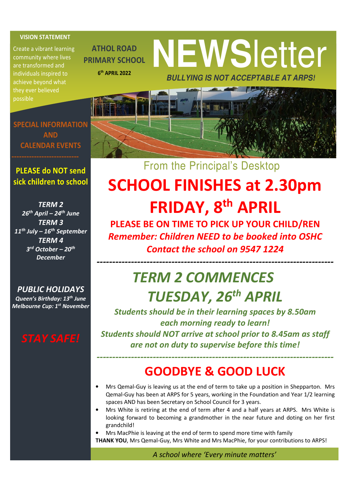#### VISION STATEMENT

Create a vibrant learning community where lives are transformed and individuals inspired to achieve beyond what possible

SPECIAL INFORMATION AND CALENDAR EVENTS

ATHOL ROAD PRIMARY SCHOOL

6 th APRIL 2022

# **NEWS**letter **BULLYING IS NOT ACCEPTABLE AT ARPS!**

From the Principal's Desktop

#### PLEASE do NOT send sick children to school

TERM 2  $26<sup>th</sup>$  April – 24<sup>th</sup> June TERM 3  $11^{th}$  July –  $16^{th}$  September TERM 4 3<sup>rd</sup> October – 20<sup>th</sup> **December** 

PUBLIC HOLIDAYS Queen's Birthday: 13<sup>th</sup> June Melbourne Cup: 1<sup>st</sup> November



# SCHOOL FINISHES at 2.30pm FRIDAY, 8th APRIL

PLEASE BE ON TIME TO PICK UP YOUR CHILD/REN Remember: Children NEED to be booked into OSHC Contact the school on 9547 1224

----------------------------------------------------------------------------

### TERM 2 COMMENCES TUESDAY, 26<sup>th</sup> APRIL

Students should be in their learning spaces by 8.50am each morning ready to learn! Students should NOT arrive at school prior to 8.45am as staff are not on duty to supervise before this time!

### GOODBYE & GOOD LUCK

----------------------------------------------------------------------------

- Mrs Qemal-Guy is leaving us at the end of term to take up a position in Shepparton. Mrs Qemal-Guy has been at ARPS for 5 years, working in the Foundation and Year 1/2 learning spaces AND has been Secretary on School Council for 3 years.
- Mrs White is retiring at the end of term after 4 and a half years at ARPS. Mrs White is looking forward to becoming a grandmother in the near future and doting on her first grandchild!
- Mrs MacPhie is leaving at the end of term to spend more time with family THANK YOU, Mrs Qemal-Guy, Mrs White and Mrs MacPhie, for your contributions to ARPS!

A school where 'Every minute matters'